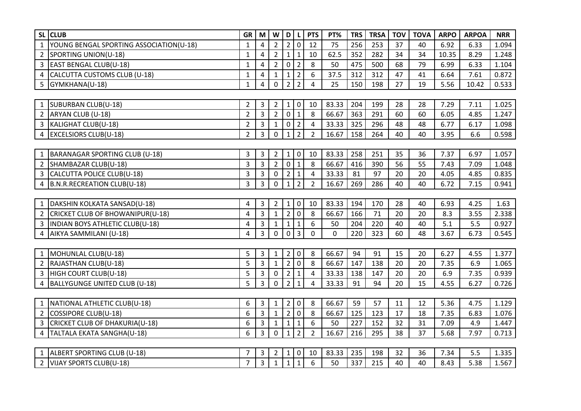| <b>CLUB</b><br><b>SL</b>                           | GR             | M              | W              | $\mathbf{D}$   | L              | <b>PTS</b>     | PT%   | <b>TRS</b> | <b>TRSA</b> | <b>TOV</b> | <b>TOVA</b> | <b>ARPO</b> | <b>ARPOA</b> | <b>NRR</b> |
|----------------------------------------------------|----------------|----------------|----------------|----------------|----------------|----------------|-------|------------|-------------|------------|-------------|-------------|--------------|------------|
| YOUNG BENGAL SPORTING ASSOCIATION(U-18)            | $\mathbf{1}$   | $\overline{4}$ | $\overline{2}$ | 2              | l O            | 12             | 75    | 256        | 253         | 37         | 40          | 6.92        | 6.33         | 1.094      |
| 2 SPORTING UNION(U-18)                             | 1              | 4              | $\overline{2}$ | $1\vert$       | $\mathbf{1}$   | 10             | 62.5  | 352        | 282         | 34         | 34          | 10.35       | 8.29         | 1.248      |
| 3 EAST BENGAL CLUB(U-18)                           | $\mathbf{1}$   | $\overline{4}$ | $\overline{2}$ | $\mathbf 0$    | $\overline{2}$ | 8              | 50    | 475        | 500         | 68         | 79          | 6.99        | 6.33         | 1.104      |
| CALCUTTA CUSTOMS CLUB (U-18)<br>4                  | $\mathbf{1}$   | 4              | $\mathbf{1}$   | $\mathbf{1}$   | $\overline{2}$ | 6              | 37.5  | 312        | 312         | 47         | 41          | 6.64        | 7.61         | 0.872      |
| 5<br>GYMKHANA(U-18)                                | 1              | 4              | 0              | $\overline{2}$ | $\overline{2}$ | 4              | 25    | 150        | 198         | 27         | 19          | 5.56        | 10.42        | 0.533      |
|                                                    |                |                |                |                |                |                |       |            |             |            |             |             |              |            |
| SUBURBAN CLUB(U-18)<br>$\mathbf{1}$                | $\overline{2}$ | 3              | $\overline{2}$ | $1 \mid$       | $\overline{0}$ | 10             | 83.33 | 204        | 199         | 28         | 28          | 7.29        | 7.11         | 1.025      |
| 2 ARYAN CLUB (U-18)                                | $\overline{2}$ | $\overline{3}$ | $\overline{2}$ | $\overline{0}$ | $\mathbf{1}$   | 8              | 66.67 | 363        | 291         | 60         | 60          | 6.05        | 4.85         | 1.247      |
| 3   KALIGHAT CLUB(U-18)                            | $\overline{2}$ | $\overline{3}$ | $\mathbf{1}$   | $\mathbf 0$    | $\overline{2}$ | $\overline{a}$ | 33.33 | 325        | 296         | 48         | 48          | 6.77        | 6.17         | 1.098      |
| <b>EXCELSIORS CLUB(U-18)</b><br>4                  | $\overline{2}$ | 3              | 0              | 1              | $\overline{2}$ | $\overline{2}$ | 16.67 | 158        | 264         | 40         | 40          | 3.95        | 6.6          | 0.598      |
|                                                    |                |                |                |                |                |                |       |            |             |            |             |             |              |            |
| BARANAGAR SPORTING CLUB (U-18)                     | 3              | 3              | $\overline{2}$ | 1              | $\mathbf 0$    | 10             | 83.33 | 258        | 251         | 35         | 36          | 7.37        | 6.97         | 1.057      |
| $\overline{2}$<br>SHAMBAZAR CLUB(U-18)             | $\overline{3}$ | $\overline{3}$ | $\overline{2}$ | $\mathbf 0$    | $\mathbf{1}$   | 8              | 66.67 | 416        | 390         | 56         | 55          | 7.43        | 7.09         | 1.048      |
| CALCUTTA POLICE CLUB(U-18)<br>3                    | 3              | 3              | $\mathbf 0$    | $\overline{2}$ | $\mathbf{1}$   | $\overline{4}$ | 33.33 | 81         | 97          | 20         | 20          | 4.05        | 4.85         | 0.835      |
| B.N.R.RECREATION CLUB(U-18)<br>4                   | 3              | 3              | 0              | 1              | $\overline{2}$ | $\overline{2}$ | 16.67 | 269        | 286         | 40         | 40          | 6.72        | 7.15         | 0.941      |
|                                                    |                |                |                |                |                |                |       |            |             |            |             |             |              |            |
| 1   DAKSHIN KOLKATA SANSAD(U-18)                   | 4              | 3              | $\overline{2}$ | 1 0            |                | 10             | 83.33 | 194        | 170         | 28         | 40          | 6.93        | 4.25         | 1.63       |
| CRICKET CLUB OF BHOWANIPUR(U-18)<br>$\overline{2}$ | 4              | $\overline{3}$ | $\mathbf{1}$   | $\overline{2}$ | $\mathbf 0$    | 8              | 66.67 | 166        | 71          | 20         | 20          | 8.3         | 3.55         | 2.338      |
| <b>INDIAN BOYS ATHLETIC CLUB(U-18)</b>             | 4              | $\overline{3}$ | $\mathbf{1}$   | 1              | $\mathbf 1$    | 6              | 50    | 204        | 220         | 40         | 40          | 5.1         | 5.5          | 0.927      |
| AIKYA SAMMILANI (U-18)                             | 4              | 3              | 0              | $\overline{0}$ | $\overline{3}$ | $\mathbf{0}$   | 0     | 220        | 323         | 60         | 48          | 3.67        | 6.73         | 0.545      |
|                                                    |                |                |                |                |                |                |       |            |             |            |             |             |              |            |
| MOHUNLAL CLUB(U-18)<br>$\mathbf{1}$                | 5              | 3              | 1              | $\overline{2}$ | $\mathbf 0$    | 8              | 66.67 | 94         | 91          | 15         | 20          | 6.27        | 4.55         | 1.377      |
| RAJASTHAN CLUB(U-18)<br>$\overline{2}$             | 5              | $\overline{3}$ | $\mathbf{1}$   | 2 <sup>1</sup> | $\mathbf 0$    | 8              | 66.67 | 147        | 138         | 20         | 20          | 7.35        | 6.9          | 1.065      |
| HIGH COURT CLUB(U-18)<br>3                         | 5              | 3              | $\mathbf 0$    | $\overline{2}$ | 1              | $\overline{4}$ | 33.33 | 138        | 147         | 20         | 20          | 6.9         | 7.35         | 0.939      |
| <b>BALLYGUNGE UNITED CLUB (U-18)</b><br>4          | 5              | 3              | 0              | $\overline{2}$ | $\mathbf{1}$   | 4              | 33.33 | 91         | 94          | 20         | 15          | 4.55        | 6.27         | 0.726      |
|                                                    |                |                |                |                |                |                |       |            |             |            |             |             |              |            |
| NATIONAL ATHLETIC CLUB(U-18)<br>$\mathbf{1}$       | 6              | 3              | 1              | 2              | $\mathbf 0$    | 8              | 66.67 | 59         | 57          | 11         | 12          | 5.36        | 4.75         | 1.129      |
| COSSIPORE CLUB(U-18)<br>$\overline{2}$             | 6              | $\overline{3}$ | $\mathbf{1}$   | $\overline{2}$ | $\mathbf 0$    | 8              | 66.67 | 125        | 123         | 17         | 18          | 7.35        | 6.83         | 1.076      |
| CRICKET CLUB OF DHAKURIA(U-18)<br>3                | 6              | $\overline{3}$ | $\mathbf{1}$   | 1              | $\mathbf 1$    | 6              | 50    | 227        | 152         | 32         | 31          | 7.09        | 4.9          | 1.447      |
| TALTALA EKATA SANGHA(U-18)<br>4                    | 6              | 3              | 0              | 1              | $\overline{2}$ | $\overline{2}$ | 16.67 | 216        | 295         | 38         | 37          | 5.68        | 7.97         | 0.713      |
|                                                    |                |                |                |                |                |                |       |            |             |            |             |             |              |            |
| 1 ALBERT SPORTING CLUB (U-18)                      |                | 3              | $\overline{2}$ | $\mathbf{1}$   | $\pmb{0}$      | 10             | 83.33 | 235        | 198         | 32         | 36          | 7.34        | 5.5          | 1.335      |
| 2   VIJAY SPORTS CLUB(U-18)                        | $\overline{7}$ | $\overline{3}$ | $\mathbf{1}$   | 1              | 1              | 6              | 50    | 337        | 215         | 40         | 40          | 8.43        | 5.38         | 1.567      |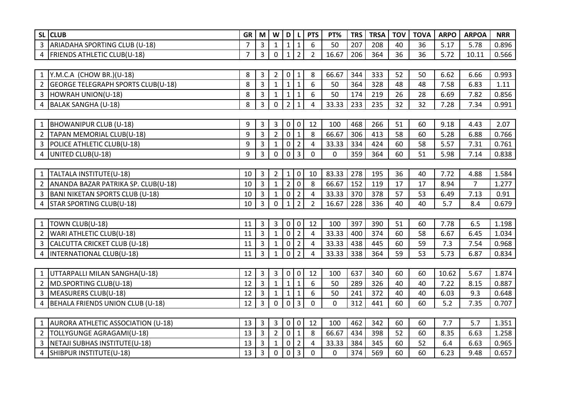|                | SL CLUB                              | GR             | M              | W              | D              | $\mathbf{L}$   | <b>PTS</b>     | PT%         | <b>TRS</b> | <b>TRSA</b> | <b>TOV</b> | <b>TOVA</b> | <b>ARPO</b> | <b>ARPOA</b> | <b>NRR</b> |
|----------------|--------------------------------------|----------------|----------------|----------------|----------------|----------------|----------------|-------------|------------|-------------|------------|-------------|-------------|--------------|------------|
| $\overline{3}$ | ARIADAHA SPORTING CLUB (U-18)        | $\overline{7}$ | $\overline{3}$ | 1              | $\mathbf{1}$   | $\mathbf{1}$   | 6              | 50          | 207        | 208         | 40         | 36          | 5.17        | 5.78         | 0.896      |
|                | 4   FRIENDS ATHLETIC CLUB(U-18)      | $\overline{7}$ | 3              | $\mathbf 0$    | $\mathbf{1}$   | $\overline{2}$ | $\overline{2}$ | 16.67       | 206        | 364         | 36         | 36          | 5.72        | 10.11        | 0.566      |
|                |                                      |                |                |                |                |                |                |             |            |             |            |             |             |              |            |
|                | 1   Y.M.C.A (CHOW BR.)(U-18)         | 8              | 3              | $\overline{2}$ | 0              | 1              | 8              | 66.67       | 344        | 333         | 52         | 50          | 6.62        | 6.66         | 0.993      |
|                | 2 GEORGE TELEGRAPH SPORTS CLUB(U-18) | 8              | $\overline{3}$ | $\mathbf{1}$   | $\mathbf{1}$   | $\mathbf{1}$   | 6              | 50          | 364        | 328         | 48         | 48          | 7.58        | 6.83         | 1.11       |
| 3              | HOWRAH UNION(U-18)                   | 8              | 3              | $\mathbf{1}$   | $\mathbf{1}$   | $\mathbf{1}$   | 6              | 50          | 174        | 219         | 26         | 28          | 6.69        | 7.82         | 0.856      |
|                | 4 BALAK SANGHA (U-18)                | 8              | 3              | 0              | 2 <sup>1</sup> | $\mathbf 1$    | 4              | 33.33       | 233        | 235         | 32         | 32          | 7.28        | 7.34         | 0.991      |
|                |                                      |                |                |                |                |                |                |             |            |             |            |             |             |              |            |
|                | 1  BHOWANIPUR CLUB (U-18)            | 9              | 3              | 3              | 0 <sub>0</sub> |                | 12             | 100         | 468        | 266         | 51         | 60          | 9.18        | 4.43         | 2.07       |
| $\overline{2}$ | TAPAN MEMORIAL CLUB(U-18)            | 9              | 3              | $\overline{2}$ | $\mathbf{0}$   | $\mathbf{1}$   | 8              | 66.67       | 306        | 413         | 58         | 60          | 5.28        | 6.88         | 0.766      |
| 3              | POLICE ATHLETIC CLUB(U-18)           | 9              | 3              | 1              | $\mathbf 0$    | $\overline{2}$ | 4              | 33.33       | 334        | 424         | 60         | 58          | 5.57        | 7.31         | 0.761      |
|                | 4   UNITED CLUB(U-18)                | 9              | $\overline{3}$ | $\mathbf 0$    | $\overline{0}$ | $\overline{3}$ | $\mathbf 0$    | $\mathbf 0$ | 359        | 364         | 60         | 51          | 5.98        | 7.14         | 0.838      |
|                |                                      |                |                |                |                |                |                |             |            |             |            |             |             |              |            |
|                | 1   TALTALA INSTITUTE(U-18)          | 10             | 3              | $\overline{2}$ | $\mathbf{1}$   | $\mathbf 0$    | 10             | 83.33       | 278        | 195         | 36         | 40          | 7.72        | 4.88         | 1.584      |
|                | ANANDA BAZAR PATRIKA SP. CLUB(U-18)  | 10             | 3              | $\mathbf{1}$   | $2^{\circ}$    | $\Omega$       | 8              | 66.67       | 152        | 119         | 17         | 17          | 8.94        | 7            | 1.277      |
|                | 3 BANI NIKETAN SPORTS CLUB (U-18)    | 10             | $\overline{3}$ | $\mathbf{1}$   | $\mathbf{0}$   | $\overline{2}$ | $\overline{4}$ | 33.33       | 370        | 378         | 57         | 53          | 6.49        | 7.13         | 0.91       |
|                | 4 STAR SPORTING CLUB(U-18)           | 10             | 3              | $\mathbf 0$    | $\mathbf{1}$   | $\overline{2}$ | $\overline{2}$ | 16.67       | 228        | 336         | 40         | 40          | 5.7         | 8.4          | 0.679      |
|                |                                      |                |                |                |                |                |                |             |            |             |            |             |             |              |            |
|                | 1  TOWN CLUB(U-18)                   | 11             | 3              | 3              | $\overline{0}$ | 0              | 12             | 100         | 397        | 390         | 51         | 60          | 7.78        | 6.5          | 1.198      |
|                | 2   WARI ATHLETIC CLUB(U-18)         | 11             | $\overline{3}$ | $\mathbf{1}$   | $\mathbf 0$    | $\overline{2}$ | $\overline{4}$ | 33.33       | 400        | 374         | 60         | 58          | 6.67        | 6.45         | 1.034      |
|                | 3 CALCUTTA CRICKET CLUB (U-18)       | 11             | 3              | $\mathbf{1}$   | $\mathbf 0$    | $\overline{2}$ | $\overline{a}$ | 33.33       | 438        | 445         | 60         | 59          | 7.3         | 7.54         | 0.968      |
|                | 4  INTERNATIONAL CLUB(U-18)          | 11             | 3              | 1              | $\mathbf 0$    | $\overline{2}$ | $\overline{4}$ | 33.33       | 338        | 364         | 59         | 53          | 5.73        | 6.87         | 0.834      |
|                |                                      |                |                |                |                |                |                |             |            |             |            |             |             |              |            |
|                | 1 UTTARPALLI MILAN SANGHA(U-18)      | 12             | 3              | 3              | 0 <sub>0</sub> |                | 12             | 100         | 637        | 340         | 60         | 60          | 10.62       | 5.67         | 1.874      |
| $2^{\circ}$    | MD.SPORTING CLUB(U-18)               | 12             | $\overline{3}$ | $\mathbf{1}$   | $\mathbf{1}$   | $\mathbf{1}$   | 6              | 50          | 289        | 326         | 40         | 40          | 7.22        | 8.15         | 0.887      |
| 3              | MEASURERS CLUB(U-18)                 | 12             | 3              | 1              | $\mathbf{1}$   | 1              | 6              | 50          | 241        | 372         | 40         | 40          | 6.03        | 9.3          | 0.648      |
|                | 4 BEHALA FRIENDS UNION CLUB (U-18)   | 12             | $\overline{3}$ | $\mathbf 0$    | $\circ$        | $\overline{3}$ | 0              | $\mathbf 0$ | 312        | 441         | 60         | 60          | 5.2         | 7.35         | 0.707      |
|                |                                      |                |                |                |                |                |                |             |            |             |            |             |             |              |            |
|                | 1 AURORA ATHLETIC ASSOCIATION (U-18) | 13             | 3              | 3              | $\overline{0}$ | $\mathbf 0$    | 12             | 100         | 462        | 342         | 60         | 60          | 7.7         | 5.7          | 1.351      |
|                | TOLLYGUNGE AGRAGAMI(U-18)            | 13             | 3              | 2              | $\circ$        | 1              | 8              | 66.67       | 434        | 398         | 52         | 60          | 8.35        | 6.63         | 1.258      |
|                | 3   NETAJI SUBHAS INSTITUTE(U-18)    | 13             | 3              | $\mathbf{1}$   | $\mathbf 0$    | $\overline{2}$ | 4              | 33.33       | 384        | 345         | 60         | 52          | 6.4         | 6.63         | 0.965      |
|                | 4 SHIBPUR INSTITUTE(U-18)            | 13             | 3              | $\mathbf 0$    | $\mathbf 0$    | $\overline{3}$ | $\mathbf 0$    | 0           | 374        | 569         | 60         | 60          | 6.23        | 9.48         | 0.657      |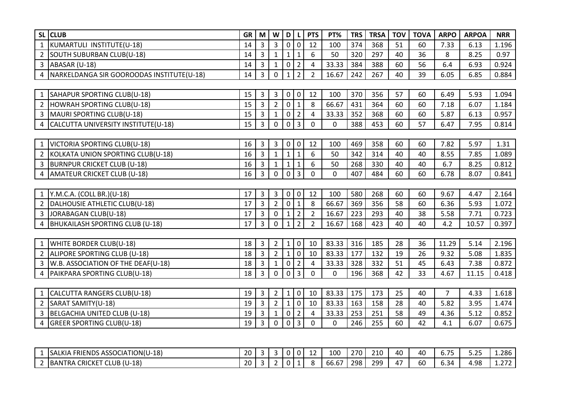| SL CLUB                                             | GR I            | M              | W              | D               | L              | <b>PTS</b>     | PT%         | <b>TRS</b> | <b>TRSA</b> | <b>TOV</b> | <b>TOVA</b> | <b>ARPO</b>    | <b>ARPOA</b> | <b>NRR</b> |
|-----------------------------------------------------|-----------------|----------------|----------------|-----------------|----------------|----------------|-------------|------------|-------------|------------|-------------|----------------|--------------|------------|
| KUMARTULI INSTITUTE(U-18)<br>$\mathbf{1}$           | 14              | $\overline{3}$ | $\mathbf{3}$   | $\mathbf 0$     | $\mathbf 0$    | 12             | 100         | 374        | 368         | 51         | 60          | 7.33           | 6.13         | 1.196      |
| 2 SOUTH SUBURBAN CLUB(U-18)                         | 14              | $\overline{3}$ | $\mathbf{1}$   | $1\overline{ }$ | $\mathbf{1}$   | 6              | 50          | 320        | 297         | 40         | 36          | 8              | 8.25         | 0.97       |
| $3$ ABASAR (U-18)                                   | 14              | 3              | $\mathbf{1}$   | $\mathbf 0$     | $\overline{2}$ | 4              | 33.33       | 384        | 388         | 60         | 56          | 6.4            | 6.93         | 0.924      |
| 4   NARKELDANGA SIR GOOROODAS INSTITUTE(U-18)       | 14              | $\overline{3}$ | $\mathbf 0$    | $\mathbf{1}$    | $\overline{2}$ | $\overline{2}$ | 16.67       | 242        | 267         | 40         | 39          | 6.05           | 6.85         | 0.884      |
|                                                     |                 |                |                |                 |                |                |             |            |             |            |             |                |              |            |
| SAHAPUR SPORTING CLUB(U-18)                         | 15              | $\overline{3}$ | $\mathbf{3}$   | $\mathbf 0$     | $\mathbf 0$    | 12             | 100         | 370        | 356         | 57         | 60          | 6.49           | 5.93         | 1.094      |
| 2 HOWRAH SPORTING CLUB(U-18)                        | 15              | $\overline{3}$ | $\overline{2}$ | $\overline{0}$  | $\mathbf 1$    | 8              | 66.67       | 431        | 364         | 60         | 60          | 7.18           | 6.07         | 1.184      |
| 3   MAURI SPORTING CLUB(U-18)                       | 15              | $\overline{3}$ | $\mathbf{1}$   | $\mathbf 0$     | $\overline{2}$ | $\overline{4}$ | 33.33       | 352        | 368         | 60         | 60          | 5.87           | 6.13         | 0.957      |
| 4 CALCUTTA UNIVERSITY INSTITUTE(U-18)               | 15 <sub>1</sub> | $\overline{3}$ | $\mathbf 0$    | $\mathbf 0$     | $\overline{3}$ | $\mathbf 0$    | $\mathbf 0$ | 388        | 453         | 60         | 57          | 6.47           | 7.95         | 0.814      |
|                                                     |                 |                |                |                 |                |                |             |            |             |            |             |                |              |            |
| VICTORIA SPORTING CLUB(U-18)                        | 16              | 3              | $\mathbf{3}$   | $\mathbf 0$     | $\mathbf 0$    | 12             | 100         | 469        | 358         | 60         | 60          | 7.82           | 5.97         | 1.31       |
| KOLKATA UNION SPORTING CLUB(U-18)<br>$\overline{2}$ | 16              | $\overline{3}$ | $\mathbf 1$    | 1               | $\mathbf{1}$   | 6              | 50          | 342        | 314         | 40         | 40          | 8.55           | 7.85         | 1.089      |
| 3 BURNPUR CRICKET CLUB (U-18)                       | 16              | $\overline{3}$ | $\mathbf{1}$   | 1               | $\mathbf{1}$   | 6              | 50          | 268        | 330         | 40         | 40          | 6.7            | 8.25         | 0.812      |
| AMATEUR CRICKET CLUB (U-18)<br>$\overline{4}$       | 16              | $\overline{3}$ | $\mathbf 0$    | $\mathbf 0$     | $\overline{3}$ | $\mathbf 0$    | $\mathbf 0$ | 407        | 484         | 60         | 60          | 6.78           | 8.07         | 0.841      |
|                                                     |                 |                |                |                 |                |                |             |            |             |            |             |                |              |            |
| 1   Y.M.C.A. (COLL BR.) (U-18)                      | 17              | $\overline{3}$ | 3 <sup>1</sup> | $\mathbf 0$     | $\mathbf 0$    | 12             | 100         | 580        | 268         | 60         | 60          | 9.67           | 4.47         | 2.164      |
| DALHOUSIE ATHLETIC CLUB(U-18)<br>$\overline{2}$     | 17              | $\overline{3}$ | $\overline{2}$ | $\mathbf 0$     | $\mathbf{1}$   | 8              | 66.67       | 369        | 356         | 58         | 60          | 6.36           | 5.93         | 1.072      |
| 3 JORABAGAN CLUB(U-18)                              | 17              | $\overline{3}$ | $\mathbf 0$    | $\mathbf{1}$    | $\overline{2}$ | $\overline{2}$ | 16.67       | 223        | 293         | 40         | 38          | 5.58           | 7.71         | 0.723      |
| 4 BHUKAILASH SPORTING CLUB (U-18)                   | 17              | $\overline{3}$ | $\mathbf 0$    | $\mathbf{1}$    | $\overline{2}$ | $\overline{2}$ | 16.67       | 168        | 423         | 40         | 40          | 4.2            | 10.57        | 0.397      |
|                                                     |                 |                |                |                 |                |                |             |            |             |            |             |                |              |            |
| WHITE BORDER CLUB(U-18)                             | 18              | 3              | $2^{\circ}$    | $\mathbf{1}$    | 0              | 10             | 83.33       | 316        | 185         | 28         | 36          | 11.29          | 5.14         | 2.196      |
| 2 ALIPORE SPORTING CLUB (U-18)                      | 18              | $\overline{3}$ | $\overline{2}$ | $\mathbf{1}$    | $\pmb{0}$      | 10             | 83.33       | 177        | 132         | 19         | 26          | 9.32           | 5.08         | 1.835      |
| 3   W.B. ASSOCIATION OF THE DEAF(U-18)              | 18              | $\overline{3}$ | $\mathbf{1}$   | $\overline{0}$  | $\overline{2}$ | $\overline{a}$ | 33.33       | 328        | 332         | 51         | 45          | 6.43           | 7.38         | 0.872      |
| PAIKPARA SPORTING CLUB(U-18)<br>4                   | 18              | $\overline{3}$ | $\mathbf 0$    | $\overline{0}$  | $\overline{3}$ | $\mathbf 0$    | $\mathbf 0$ | 196        | 368         | 42         | 33          | 4.67           | 11.15        | 0.418      |
|                                                     |                 |                |                |                 |                |                |             |            |             |            |             |                |              |            |
| CALCUTTA RANGERS CLUB(U-18)                         | 19              | $\overline{3}$ | $\overline{2}$ | $\mathbf{1}$    | $\mathbf 0$    | 10             | 83.33       | 175        | 173         | 25         | 40          | $\overline{7}$ | 4.33         | 1.618      |
| 2 SARAT SAMITY(U-18)                                | 19              | $\overline{3}$ | $\overline{2}$ | $\mathbf{1}$    | $\mathbf 0$    | 10             | 83.33       | 163        | 158         | 28         | 40          | 5.82           | 3.95         | 1.474      |
| 3 BELGACHIA UNITED CLUB (U-18)                      | 19              | $\overline{3}$ | $\mathbf{1}$   | $\overline{0}$  | $\overline{2}$ | $\overline{4}$ | 33.33       | 253        | 251         | 58         | 49          | 4.36           | 5.12         | 0.852      |
| <b>GREER SPORTING CLUB(U-18)</b><br>$\overline{4}$  | 19              | $\overline{3}$ | $\mathbf 0$    | $\overline{0}$  | $\mathbf{3}$   | $\mathbf 0$    | 0           | 246        | 255         | 60         | 42          | 4.1            | 6.07         | 0.675      |
|                                                     |                 |                |                |                 |                |                |             |            |             |            |             |                |              |            |
|                                                     |                 |                |                |                 |                |                |             |            |             |            |             |                |              |            |
| SALKIA FRIENDS ASSOCIATION(U-18)                    | 20              | 3              | 3              | 0               | 0              | 12             | 100         | 270        | 210         | 40         | 40          | 6.75           | 5.25         | 1.286      |
| 2 BANTRA CRICKET CLUB (U-18)                        | 20              | $\overline{3}$ | $2^{\circ}$    | $\mathbf 0$     | $\mathbf{1}$   | 8              | 66.67       | 298        | 299         | 47         | 60          | 6.34           | 4.98         | 1.272      |